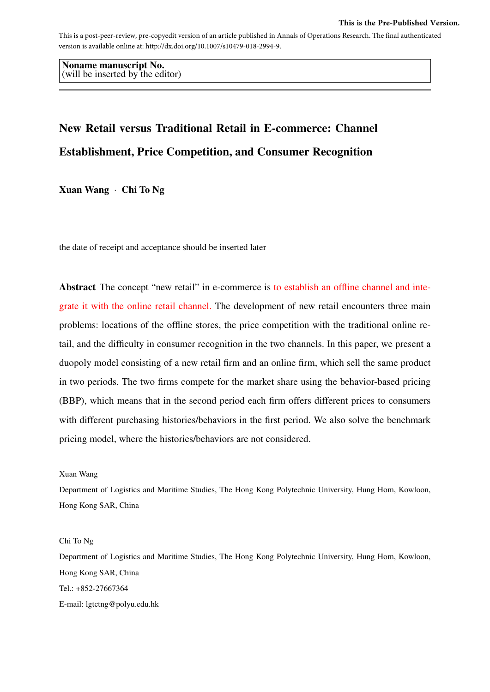This is a post-peer-review, pre-copyedit version of an article published in Annals of Operations Research. The final authenticated version is available online at: http://dx.doi.org/10.1007/s10479-018-2994-9.

Noname manuscript No. (will be inserted by the editor)

# New Retail versus Traditional Retail in E-commerce: Channel Establishment, Price Competition, and Consumer Recognition

Xuan Wang · Chi To Ng

the date of receipt and acceptance should be inserted later

Abstract The concept "new retail" in e-commerce is to establish an offline channel and integrate it with the online retail channel. The development of new retail encounters three main problems: locations of the offline stores, the price competition with the traditional online retail, and the difficulty in consumer recognition in the two channels. In this paper, we present a duopoly model consisting of a new retail firm and an online firm, which sell the same product in two periods. The two firms compete for the market share using the behavior-based pricing (BBP), which means that in the second period each firm offers different prices to consumers with different purchasing histories/behaviors in the first period. We also solve the benchmark pricing model, where the histories/behaviors are not considered.

Xuan Wang

Department of Logistics and Maritime Studies, The Hong Kong Polytechnic University, Hung Hom, Kowloon, Hong Kong SAR, China

Chi To Ng

Department of Logistics and Maritime Studies, The Hong Kong Polytechnic University, Hung Hom, Kowloon, Hong Kong SAR, China

Tel.: +852-27667364

E-mail: lgtctng@polyu.edu.hk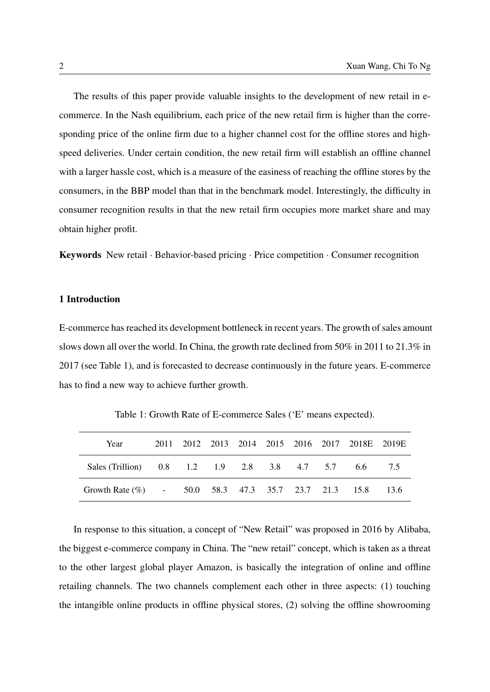The results of this paper provide valuable insights to the development of new retail in ecommerce. In the Nash equilibrium, each price of the new retail firm is higher than the corresponding price of the online firm due to a higher channel cost for the offline stores and highspeed deliveries. Under certain condition, the new retail firm will establish an offline channel with a larger hassle cost, which is a measure of the easiness of reaching the offline stores by the consumers, in the BBP model than that in the benchmark model. Interestingly, the difficulty in consumer recognition results in that the new retail firm occupies more market share and may obtain higher profit.

Keywords New retail · Behavior-based pricing · Price competition · Consumer recognition

# 1 Introduction

E-commerce has reached its development bottleneck in recent years. The growth of sales amount slows down all over the world. In China, the growth rate declined from 50% in 2011 to 21.3% in 2017 (see Table [1\)](#page-1-0), and is forecasted to decrease continuously in the future years. E-commerce has to find a new way to achieve further growth.

<span id="page-1-0"></span>

| Year                                             |  |  |  | 2011 2012 2013 2014 2015 2016 2017 2018E 2019E |     |
|--------------------------------------------------|--|--|--|------------------------------------------------|-----|
| Sales (Trillion) 0.8 1.2 1.9 2.8 3.8 4.7 5.7 6.6 |  |  |  |                                                | 7.5 |
| Growth Rate $(\% )$ -                            |  |  |  | 50.0 58.3 47.3 35.7 23.7 21.3 15.8 13.6        |     |

Table 1: Growth Rate of E-commerce Sales ('E' means expected).

In response to this situation, a concept of "New Retail" was proposed in 2016 by Alibaba, the biggest e-commerce company in China. The "new retail" concept, which is taken as a threat to the other largest global player Amazon, is basically the integration of online and offline retailing channels. The two channels complement each other in three aspects: (1) touching the intangible online products in offline physical stores, (2) solving the offline showrooming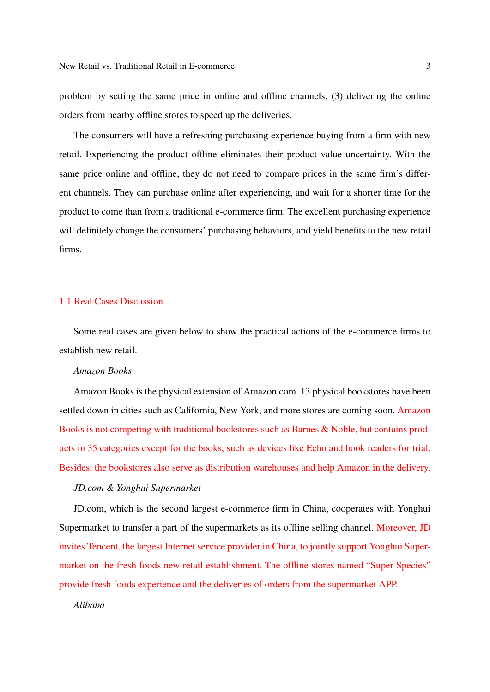problem by setting the same price in online and offline channels, (3) delivering the online orders from nearby offline stores to speed up the deliveries.

The consumers will have a refreshing purchasing experience buying from a firm with new retail. Experiencing the product offline eliminates their product value uncertainty. With the same price online and offline, they do not need to compare prices in the same firm's different channels. They can purchase online after experiencing, and wait for a shorter time for the product to come than from a traditional e-commerce firm. The excellent purchasing experience will definitely change the consumers' purchasing behaviors, and yield benefits to the new retail firms.

## 1.1 Real Cases Discussion

Some real cases are given below to show the practical actions of the e-commerce firms to establish new retail.

## *Amazon Books*

Amazon Books is the physical extension of Amazon.com. 13 physical bookstores have been settled down in cities such as California, New York, and more stores are coming soon. Amazon Books is not competing with traditional bookstores such as Barnes & Noble, but contains products in 35 categories except for the books, such as devices like Echo and book readers for trial. Besides, the bookstores also serve as distribution warehouses and help Amazon in the delivery.

## *JD.com & Yonghui Supermarket*

JD.com, which is the second largest e-commerce firm in China, cooperates with Yonghui Supermarket to transfer a part of the supermarkets as its offline selling channel. Moreover, JD invites Tencent, the largest Internet service provider in China, to jointly support Yonghui Supermarket on the fresh foods new retail establishment. The offline stores named "Super Species" provide fresh foods experience and the deliveries of orders from the supermarket APP.

*Alibaba*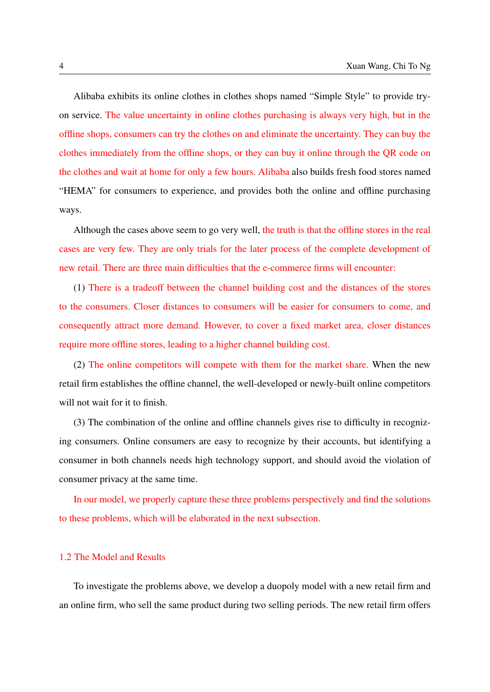Alibaba exhibits its online clothes in clothes shops named "Simple Style" to provide tryon service. The value uncertainty in online clothes purchasing is always very high, but in the offline shops, consumers can try the clothes on and eliminate the uncertainty. They can buy the clothes immediately from the offline shops, or they can buy it online through the QR code on the clothes and wait at home for only a few hours. Alibaba also builds fresh food stores named "HEMA" for consumers to experience, and provides both the online and offline purchasing ways.

Although the cases above seem to go very well, the truth is that the offline stores in the real cases are very few. They are only trials for the later process of the complete development of new retail. There are three main difficulties that the e-commerce firms will encounter:

(1) There is a tradeoff between the channel building cost and the distances of the stores to the consumers. Closer distances to consumers will be easier for consumers to come, and consequently attract more demand. However, to cover a fixed market area, closer distances require more offline stores, leading to a higher channel building cost.

(2) The online competitors will compete with them for the market share. When the new retail firm establishes the offline channel, the well-developed or newly-built online competitors will not wait for it to finish.

(3) The combination of the online and offline channels gives rise to difficulty in recognizing consumers. Online consumers are easy to recognize by their accounts, but identifying a consumer in both channels needs high technology support, and should avoid the violation of consumer privacy at the same time.

In our model, we properly capture these three problems perspectively and find the solutions to these problems, which will be elaborated in the next subsection.

# 1.2 The Model and Results

To investigate the problems above, we develop a duopoly model with a new retail firm and an online firm, who sell the same product during two selling periods. The new retail firm offers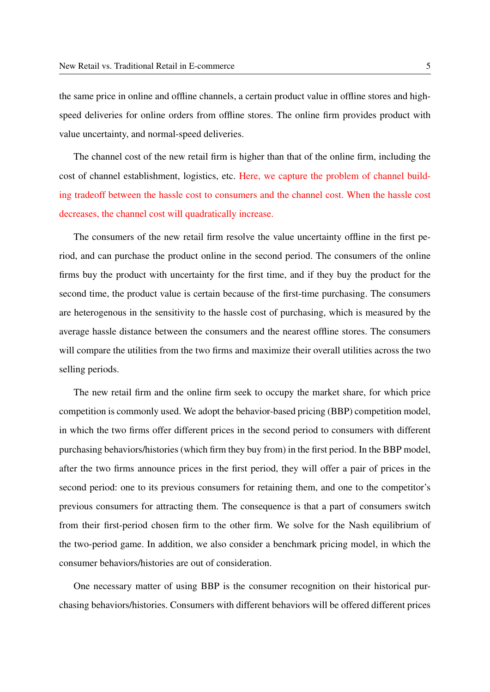the same price in online and offline channels, a certain product value in offline stores and highspeed deliveries for online orders from offline stores. The online firm provides product with value uncertainty, and normal-speed deliveries.

The channel cost of the new retail firm is higher than that of the online firm, including the cost of channel establishment, logistics, etc. Here, we capture the problem of channel building tradeoff between the hassle cost to consumers and the channel cost. When the hassle cost decreases, the channel cost will quadratically increase.

The consumers of the new retail firm resolve the value uncertainty offline in the first period, and can purchase the product online in the second period. The consumers of the online firms buy the product with uncertainty for the first time, and if they buy the product for the second time, the product value is certain because of the first-time purchasing. The consumers are heterogenous in the sensitivity to the hassle cost of purchasing, which is measured by the average hassle distance between the consumers and the nearest offline stores. The consumers will compare the utilities from the two firms and maximize their overall utilities across the two selling periods.

The new retail firm and the online firm seek to occupy the market share, for which price competition is commonly used. We adopt the behavior-based pricing (BBP) competition model, in which the two firms offer different prices in the second period to consumers with different purchasing behaviors/histories (which firm they buy from) in the first period. In the BBP model, after the two firms announce prices in the first period, they will offer a pair of prices in the second period: one to its previous consumers for retaining them, and one to the competitor's previous consumers for attracting them. The consequence is that a part of consumers switch from their first-period chosen firm to the other firm. We solve for the Nash equilibrium of the two-period game. In addition, we also consider a benchmark pricing model, in which the consumer behaviors/histories are out of consideration.

One necessary matter of using BBP is the consumer recognition on their historical purchasing behaviors/histories. Consumers with different behaviors will be offered different prices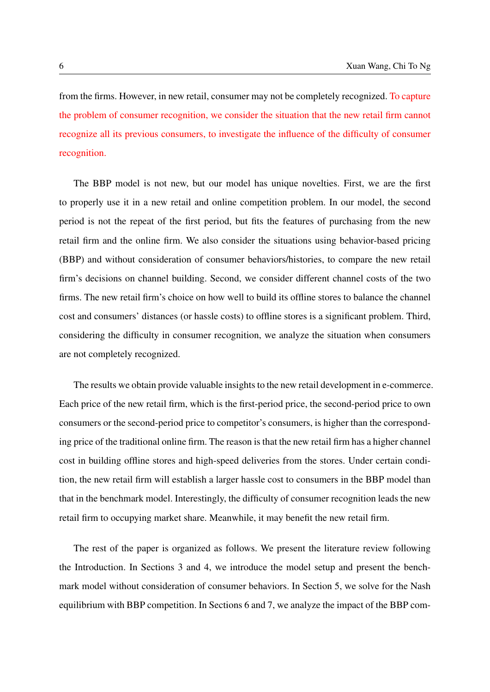from the firms. However, in new retail, consumer may not be completely recognized. To capture the problem of consumer recognition, we consider the situation that the new retail firm cannot recognize all its previous consumers, to investigate the influence of the difficulty of consumer recognition.

The BBP model is not new, but our model has unique novelties. First, we are the first to properly use it in a new retail and online competition problem. In our model, the second period is not the repeat of the first period, but fits the features of purchasing from the new retail firm and the online firm. We also consider the situations using behavior-based pricing (BBP) and without consideration of consumer behaviors/histories, to compare the new retail firm's decisions on channel building. Second, we consider different channel costs of the two firms. The new retail firm's choice on how well to build its offline stores to balance the channel cost and consumers' distances (or hassle costs) to offline stores is a significant problem. Third, considering the difficulty in consumer recognition, we analyze the situation when consumers are not completely recognized.

The results we obtain provide valuable insights to the new retail development in e-commerce. Each price of the new retail firm, which is the first-period price, the second-period price to own consumers or the second-period price to competitor's consumers, is higher than the corresponding price of the traditional online firm. The reason is that the new retail firm has a higher channel cost in building offline stores and high-speed deliveries from the stores. Under certain condition, the new retail firm will establish a larger hassle cost to consumers in the BBP model than that in the benchmark model. Interestingly, the difficulty of consumer recognition leads the new retail firm to occupying market share. Meanwhile, it may benefit the new retail firm.

The rest of the paper is organized as follows. We present the literature review following the Introduction. In Sections [3](#page-8-0) and [4,](#page-10-0) we introduce the model setup and present the benchmark model without consideration of consumer behaviors. In Section [5,](#page-13-0) we solve for the Nash equilibrium with BBP competition. In Sections [6](#page-17-0) and [7,](#page-19-0) we analyze the impact of the BBP com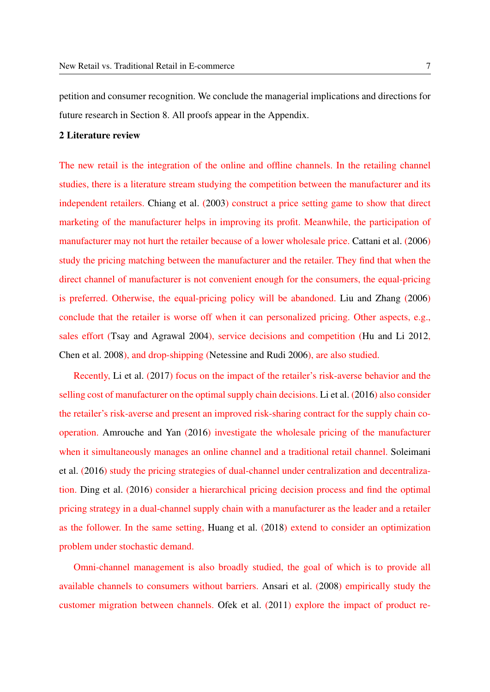petition and consumer recognition. We conclude the managerial implications and directions for future research in Section [8.](#page-22-0) All proofs appear in the Appendix.

# 2 Literature review

The new retail is the integration of the online and offline channels. In the retailing channel studies, there is a literature stream studying the competition between the manufacturer and its independent retailers. [Chiang et al.](#page-23-0) [\(2003\)](#page-23-0) construct a price setting game to show that direct marketing of the manufacturer helps in improving its profit. Meanwhile, the participation of manufacturer may not hurt the retailer because of a lower wholesale price. [Cattani et al.](#page-23-1) [\(2006\)](#page-23-1) study the pricing matching between the manufacturer and the retailer. They find that when the direct channel of manufacturer is not convenient enough for the consumers, the equal-pricing is preferred. Otherwise, the equal-pricing policy will be abandoned. [Liu and Zhang](#page-25-0) [\(2006\)](#page-25-0) conclude that the retailer is worse off when it can personalized pricing. Other aspects, e.g., sales effort [\(Tsay and Agrawal](#page-25-1) [2004\)](#page-25-1), service decisions and competition [\(Hu and Li](#page-24-0) [2012,](#page-24-0) [Chen et al.](#page-23-2) [2008\)](#page-23-2), and drop-shipping [\(Netessine and Rudi](#page-25-2) [2006\)](#page-25-2), are also studied.

Recently, [Li et al.](#page-24-1) [\(2017\)](#page-24-1) focus on the impact of the retailer's risk-averse behavior and the selling cost of manufacturer on the optimal supply chain decisions. [Li et al.](#page-24-2) [\(2016\)](#page-24-2) also consider the retailer's risk-averse and present an improved risk-sharing contract for the supply chain cooperation. [Amrouche and Yan](#page-23-3) [\(2016\)](#page-23-3) investigate the wholesale pricing of the manufacturer when it simultaneously manages an online channel and a traditional retail channel. [Soleimani](#page-25-3) [et al.](#page-25-3) [\(2016\)](#page-25-3) study the pricing strategies of dual-channel under centralization and decentralization. [Ding et al.](#page-23-4) [\(2016\)](#page-23-4) consider a hierarchical pricing decision process and find the optimal pricing strategy in a dual-channel supply chain with a manufacturer as the leader and a retailer as the follower. In the same setting, [Huang et al.](#page-24-3) [\(2018\)](#page-24-3) extend to consider an optimization problem under stochastic demand.

Omni-channel management is also broadly studied, the goal of which is to provide all available channels to consumers without barriers. [Ansari et al.](#page-23-5) [\(2008\)](#page-23-5) empirically study the customer migration between channels. [Ofek et al.](#page-25-4) [\(2011\)](#page-25-4) explore the impact of product re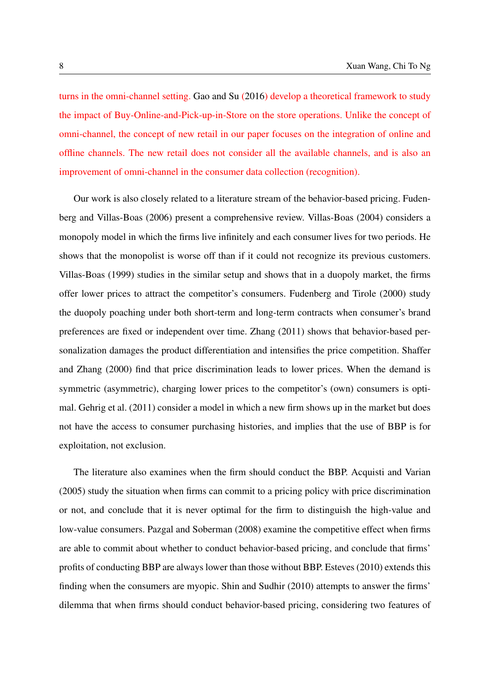turns in the omni-channel setting. [Gao and Su](#page-24-4) [\(2016\)](#page-24-4) develop a theoretical framework to study the impact of Buy-Online-and-Pick-up-in-Store on the store operations. Unlike the concept of omni-channel, the concept of new retail in our paper focuses on the integration of online and offline channels. The new retail does not consider all the available channels, and is also an improvement of omni-channel in the consumer data collection (recognition).

Our work is also closely related to a literature stream of the behavior-based pricing. [Fuden](#page-24-5)[berg and Villas-Boas](#page-24-5) [\(2006\)](#page-24-5) present a comprehensive review. Villas-Boas [\(2004\)](#page-25-5) considers a monopoly model in which the firms live infinitely and each consumer lives for two periods. He shows that the monopolist is worse off than if it could not recognize its previous customers. Villas-Boas [\(1999\)](#page-25-6) studies in the similar setup and shows that in a duopoly market, the firms offer lower prices to attract the competitor's consumers. Fudenberg and Tirole [\(2000\)](#page-24-6) study the duopoly poaching under both short-term and long-term contracts when consumer's brand preferences are fixed or independent over time. Zhang [\(2011\)](#page-25-7) shows that behavior-based personalization damages the product differentiation and intensifies the price competition. Shaffer and Zhang [\(2000\)](#page-25-8) find that price discrimination leads to lower prices. When the demand is symmetric (asymmetric), charging lower prices to the competitor's (own) consumers is optimal. Gehrig et al. [\(2011\)](#page-24-7) consider a model in which a new firm shows up in the market but does not have the access to consumer purchasing histories, and implies that the use of BBP is for exploitation, not exclusion.

The literature also examines when the firm should conduct the BBP. Acquisti and Varian [\(2005\)](#page-23-6) study the situation when firms can commit to a pricing policy with price discrimination or not, and conclude that it is never optimal for the firm to distinguish the high-value and low-value consumers. Pazgal and Soberman [\(2008\)](#page-25-9) examine the competitive effect when firms are able to commit about whether to conduct behavior-based pricing, and conclude that firms' profits of conducting BBP are always lower than those without BBP. Esteves [\(2010\)](#page-23-7) extends this finding when the consumers are myopic. Shin and Sudhir [\(2010\)](#page-25-10) attempts to answer the firms' dilemma that when firms should conduct behavior-based pricing, considering two features of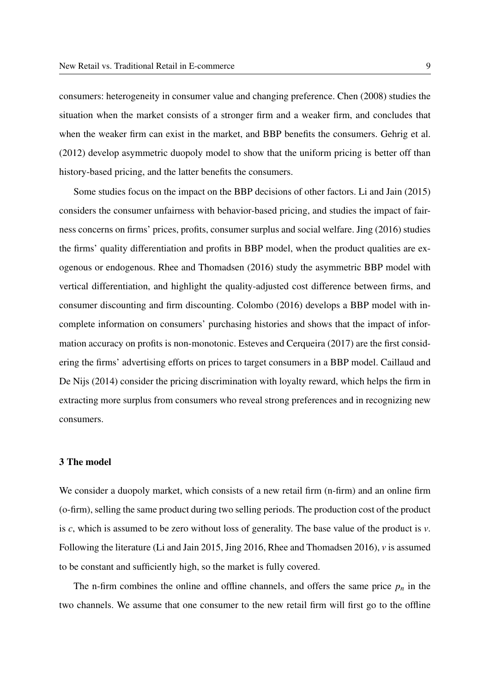consumers: heterogeneity in consumer value and changing preference. Chen [\(2008\)](#page-23-8) studies the situation when the market consists of a stronger firm and a weaker firm, and concludes that when the weaker firm can exist in the market, and BBP benefits the consumers. Gehrig et al. [\(2012\)](#page-24-8) develop asymmetric duopoly model to show that the uniform pricing is better off than history-based pricing, and the latter benefits the consumers.

Some studies focus on the impact on the BBP decisions of other factors. Li and Jain [\(2015\)](#page-24-9) considers the consumer unfairness with behavior-based pricing, and studies the impact of fairness concerns on firms' prices, profits, consumer surplus and social welfare. Jing [\(2016\)](#page-24-10) studies the firms' quality differentiation and profits in BBP model, when the product qualities are exogenous or endogenous. Rhee and Thomadsen [\(2016\)](#page-25-11) study the asymmetric BBP model with vertical differentiation, and highlight the quality-adjusted cost difference between firms, and consumer discounting and firm discounting. Colombo [\(2016\)](#page-23-9) develops a BBP model with incomplete information on consumers' purchasing histories and shows that the impact of information accuracy on profits is non-monotonic. Esteves and Cerqueira [\(2017\)](#page-23-10) are the first considering the firms' advertising efforts on prices to target consumers in a BBP model. Caillaud and De Nijs [\(2014\)](#page-23-11) consider the pricing discrimination with loyalty reward, which helps the firm in extracting more surplus from consumers who reveal strong preferences and in recognizing new consumers.

## <span id="page-8-0"></span>3 The model

We consider a duopoly market, which consists of a new retail firm  $(n$ -firm) and an online firm (o-firm), selling the same product during two selling periods. The production cost of the product is *c*, which is assumed to be zero without loss of generality. The base value of the product is *v*. Following the literature (Li and Jain [2015,](#page-24-9) Jing [2016,](#page-24-10) Rhee and Thomadsen [2016\)](#page-25-11), *v* is assumed to be constant and sufficiently high, so the market is fully covered.

The n-firm combines the online and offline channels, and offers the same price  $p_n$  in the two channels. We assume that one consumer to the new retail firm will first go to the offline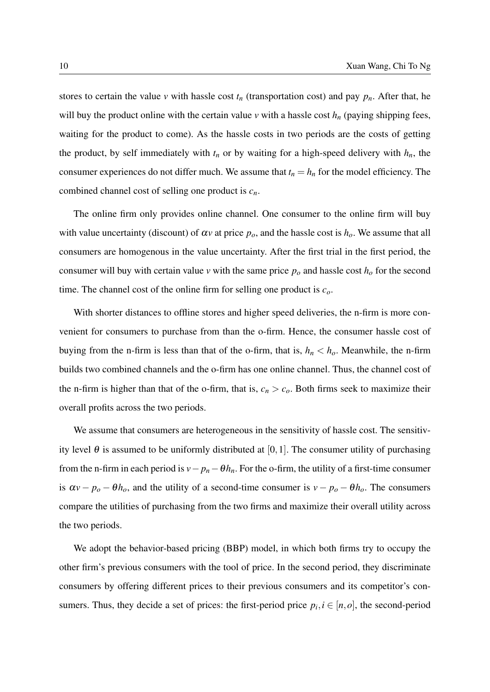stores to certain the value *v* with hassle cost  $t_n$  (transportation cost) and pay  $p_n$ . After that, he will buy the product online with the certain value  $\nu$  with a hassle cost  $h_n$  (paying shipping fees, waiting for the product to come). As the hassle costs in two periods are the costs of getting the product, by self immediately with  $t_n$  or by waiting for a high-speed delivery with  $h_n$ , the consumer experiences do not differ much. We assume that  $t_n = h_n$  for the model efficiency. The combined channel cost of selling one product is *cn*.

The online firm only provides online channel. One consumer to the online firm will buy with value uncertainty (discount) of  $\alpha v$  at price  $p_o$ , and the hassle cost is  $h_o$ . We assume that all consumers are homogenous in the value uncertainty. After the first trial in the first period, the consumer will buy with certain value *v* with the same price  $p<sub>o</sub>$  and hassle cost  $h<sub>o</sub>$  for the second time. The channel cost of the online firm for selling one product is *co*.

With shorter distances to offline stores and higher speed deliveries, the n-firm is more convenient for consumers to purchase from than the o-firm. Hence, the consumer hassle cost of buying from the n-firm is less than that of the o-firm, that is,  $h_n < h_o$ . Meanwhile, the n-firm builds two combined channels and the o-firm has one online channel. Thus, the channel cost of the n-firm is higher than that of the o-firm, that is,  $c_n > c_o$ . Both firms seek to maximize their overall profits across the two periods.

We assume that consumers are heterogeneous in the sensitivity of hassle cost. The sensitivity level  $\theta$  is assumed to be uniformly distributed at [0,1]. The consumer utility of purchasing from the n-firm in each period is  $v - p_n - \theta h_n$ . For the o-firm, the utility of a first-time consumer is  $\alpha v - p_o - \theta h_o$ , and the utility of a second-time consumer is  $v - p_o - \theta h_o$ . The consumers compare the utilities of purchasing from the two firms and maximize their overall utility across the two periods.

We adopt the behavior-based pricing (BBP) model, in which both firms try to occupy the other firm's previous consumers with the tool of price. In the second period, they discriminate consumers by offering different prices to their previous consumers and its competitor's consumers. Thus, they decide a set of prices: the first-period price  $p_i, i \in [n, o]$ , the second-period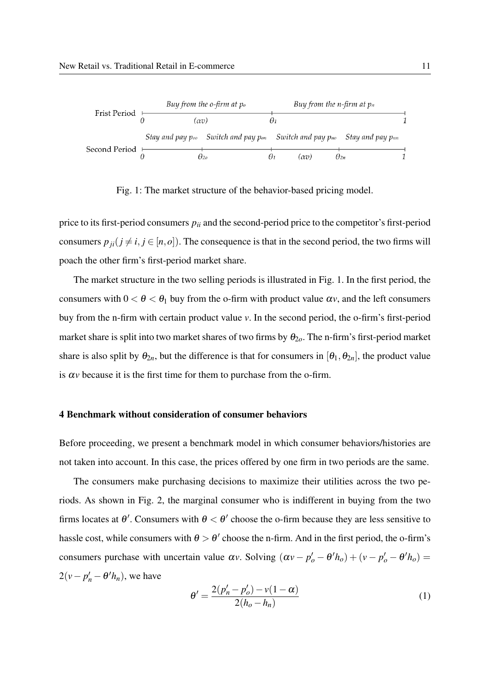<span id="page-10-1"></span>

Fig. 1: The market structure of the behavior-based pricing model.

price to its first-period consumers  $p_{ii}$  and the second-period price to the competitor's first-period consumers  $p_{ji}$  ( $j \neq i, j \in [n, o]$ ). The consequence is that in the second period, the two firms will poach the other firm's first-period market share.

The market structure in the two selling periods is illustrated in Fig. [1.](#page-10-1) In the first period, the consumers with  $0 < \theta < \theta_1$  buy from the o-firm with product value  $\alpha v$ , and the left consumers buy from the n-firm with certain product value *v*. In the second period, the o-firm's first-period market share is split into two market shares of two firms by  $\theta_{2o}$ . The n-firm's first-period market share is also split by  $\theta_{2n}$ , but the difference is that for consumers in  $[\theta_1, \theta_{2n}]$ , the product value is  $\alpha v$  because it is the first time for them to purchase from the o-firm.

#### <span id="page-10-0"></span>4 Benchmark without consideration of consumer behaviors

Before proceeding, we present a benchmark model in which consumer behaviors/histories are not taken into account. In this case, the prices offered by one firm in two periods are the same.

The consumers make purchasing decisions to maximize their utilities across the two periods. As shown in Fig. [2,](#page-11-0) the marginal consumer who is indifferent in buying from the two firms locates at  $\theta'$ . Consumers with  $\theta < \theta'$  choose the o-firm because they are less sensitive to hassle cost, while consumers with  $\theta > \theta'$  choose the n-firm. And in the first period, the o-firm's consumers purchase with uncertain value  $\alpha v$ . Solving  $(\alpha v - p'_o - \theta' h_o) + (v - p'_o - \theta' h_o) =$  $2(v - p'_n - \theta' h_n)$ , we have

$$
\theta' = \frac{2(p'_n - p'_o) - v(1 - \alpha)}{2(h_o - h_n)}
$$
(1)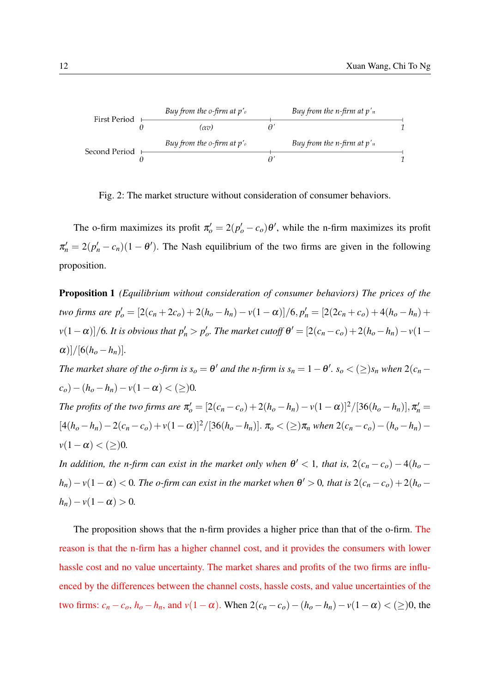<span id="page-11-0"></span>

Fig. 2: The market structure without consideration of consumer behaviors.

The o-firm maximizes its profit  $\pi'_o = 2(p'_o - c_o)\theta'$ , while the n-firm maximizes its profit  $\pi'_n = 2(p'_n - c_n)(1 - \theta')$ . The Nash equilibrium of the two firms are given in the following proposition.

<span id="page-11-1"></span>Proposition 1 *(Equilibrium without consideration of consumer behaviors) The prices of the* two firms are  $p'_o = [2(c_n + 2c_o) + 2(h_o - h_n) - v(1 - \alpha)]/6, p'_n = [2(2c_n + c_o) + 4(h_o - h_n) +$  $p_0$   $p_1$   $p_2$   $p_3$   $p_4$   $p_5$   $p_6$   $p_7$  *The market cutoff*  $\theta' = [2(c_n - c_o) + 2(h_o - h_n) - v(1 - h_o)]$  $\alpha$ )]/[6( $h_o - h_n$ )]. *The market share of the o-firm is*  $s_o = \theta'$  *and the n-firm is*  $s_n = 1 - \theta'$ *.*  $s_o < (\geq) s_n$  *when*  $2(c_n (c_o) - (h_o - h_n) - v(1 - \alpha) < (\geq)0.$ *The profits of the two firms are*  $\pi_o' = [2(c_n - c_o) + 2(h_o - h_n) - v(1 - \alpha)]^2/[36(h_o - h_n)], \pi_n' =$  $[4(h_o-h_n)-2(c_n-c_o)+v(1-\alpha)]^2/[36(h_o-h_n)]$ .  $\pi_o < (\geq)\pi_n$  when  $2(c_n-c_o)-(h_o-h_n)$  $v(1-\alpha) < (\geq)0$ . *In addition, the n-firm can exist in the market only when*  $\theta' < 1$ *, that is,*  $2(c_n - c_o) - 4(h_o -$ 

 $h_n$ ) –  $v(1 - \alpha) < 0$ . The o-firm can exist in the market when  $\theta' > 0$ , that is  $2(c_n - c_o) + 2(h_o - \alpha')$  $h_n$ ) – *v*(1 –  $\alpha$ ) > 0*.* 

The proposition shows that the n-firm provides a higher price than that of the o-firm. The reason is that the n-firm has a higher channel cost, and it provides the consumers with lower hassle cost and no value uncertainty. The market shares and profits of the two firms are influenced by the differences between the channel costs, hassle costs, and value uncertainties of the two firms:  $c_n - c_o$ ,  $h_o - h_n$ , and  $v(1 − α)$ . When  $2(c_n - c_o) - (h_o - h_n) - v(1 − α) < (≥)0$ , the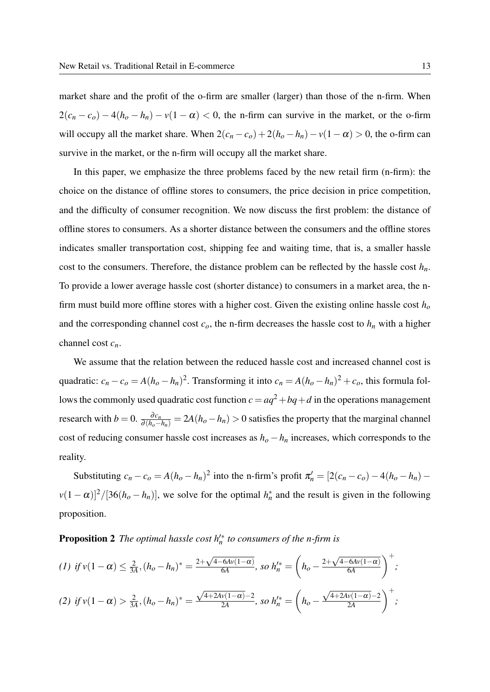market share and the profit of the o-firm are smaller (larger) than those of the n-firm. When  $2(c_n - c_o) - 4(h_o - h_n) - v(1 - \alpha) < 0$ , the n-firm can survive in the market, or the o-firm will occupy all the market share. When  $2(c_n - c_o) + 2(h_o - h_n) - v(1 - \alpha) > 0$ , the o-firm can survive in the market, or the n-firm will occupy all the market share.

In this paper, we emphasize the three problems faced by the new retail firm (n-firm): the choice on the distance of offline stores to consumers, the price decision in price competition, and the difficulty of consumer recognition. We now discuss the first problem: the distance of offline stores to consumers. As a shorter distance between the consumers and the offline stores indicates smaller transportation cost, shipping fee and waiting time, that is, a smaller hassle cost to the consumers. Therefore, the distance problem can be reflected by the hassle cost  $h_n$ . To provide a lower average hassle cost (shorter distance) to consumers in a market area, the nfirm must build more offline stores with a higher cost. Given the existing online hassle cost *h<sup>o</sup>* and the corresponding channel cost  $c<sub>o</sub>$ , the n-firm decreases the hassle cost to  $h<sub>n</sub>$  with a higher channel cost *cn*.

We assume that the relation between the reduced hassle cost and increased channel cost is quadratic:  $c_n - c_o = A(h_o - h_n)^2$ . Transforming it into  $c_n = A(h_o - h_n)^2 + c_o$ , this formula follows the commonly used quadratic cost function  $c = aq^2 + bq + d$  in the operations management research with  $b = 0$ .  $\frac{\partial c_n}{\partial (h_o - h_n)} = 2A(h_o - h_n) > 0$  satisfies the property that the marginal channel cost of reducing consumer hassle cost increases as  $h<sub>o</sub> - h<sub>n</sub>$  increases, which corresponds to the reality.

<span id="page-12-0"></span>Substituting  $c_n - c_o = A(h_o - h_n)^2$  into the n-firm's profit  $\pi'_n = [2(c_n - c_o) - 4(h_o - h_n) \nu(1-\alpha)^2/[36(h_o-h_n)]$ , we solve for the optimal  $h_n^*$  and the result is given in the following proposition.

**Proposition 2** The optimal hassle cost  $h_n'^*$  to consumers of the n-firm is

$$
(1) \text{ if } v(1-\alpha) \leq \frac{2}{3A}, (h_o - h_n)^* = \frac{2 + \sqrt{4 - 6Av(1-\alpha)}}{6A}, \text{ so } h_n'^* = \left(h_o - \frac{2 + \sqrt{4 - 6Av(1-\alpha)}}{6A}\right)^+,
$$
\n
$$
(2) \text{ if } v(1-\alpha) > \frac{2}{3A}, (h_o - h_n)^* = \frac{\sqrt{4 + 2Av(1-\alpha)} - 2}{2A}, \text{ so } h_n'^* = \left(h_o - \frac{\sqrt{4 + 2Av(1-\alpha)} - 2}{2A}\right)^+,
$$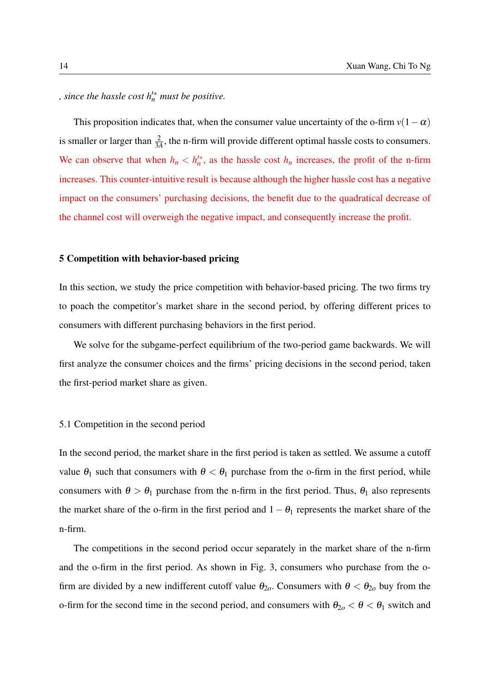*, since the hassle cost h*0∗ *<sup>n</sup> must be positive.*

This proposition indicates that, when the consumer value uncertainty of the o-firm  $v(1-\alpha)$ is smaller or larger than  $\frac{2}{3A}$ , the n-firm will provide different optimal hassle costs to consumers. We can observe that when  $h_n < h_n^*$ , as the hassle cost  $h_n$  increases, the profit of the n-firm increases. This counter-intuitive result is because although the higher hassle cost has a negative impact on the consumers' purchasing decisions, the benefit due to the quadratical decrease of the channel cost will overweigh the negative impact, and consequently increase the profit.

#### <span id="page-13-0"></span>5 Competition with behavior-based pricing

In this section, we study the price competition with behavior-based pricing. The two firms try to poach the competitor's market share in the second period, by offering different prices to consumers with different purchasing behaviors in the first period.

We solve for the subgame-perfect equilibrium of the two-period game backwards. We will first analyze the consumer choices and the firms' pricing decisions in the second period, taken the first-period market share as given.

#### 5.1 Competition in the second period

In the second period, the market share in the first period is taken as settled. We assume a cutoff value  $\theta_1$  such that consumers with  $\theta < \theta_1$  purchase from the o-firm in the first period, while consumers with  $\theta > \theta_1$  purchase from the n-firm in the first period. Thus,  $\theta_1$  also represents the market share of the o-firm in the first period and  $1-\theta_1$  represents the market share of the n-firm.

The competitions in the second period occur separately in the market share of the n-firm and the o-firm in the first period. As shown in Fig. [3,](#page-14-0) consumers who purchase from the ofirm are divided by a new indifferent cutoff value  $\theta_{2o}$ . Consumers with  $\theta < \theta_{2o}$  buy from the o-firm for the second time in the second period, and consumers with  $\theta_{2o} < \theta < \theta_1$  switch and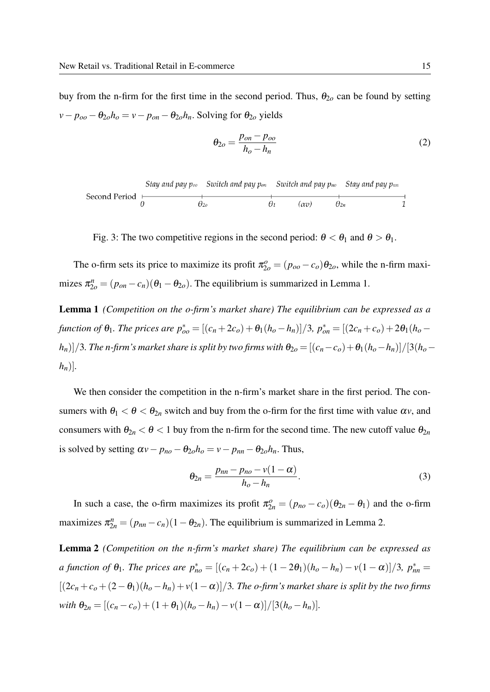buy from the n-firm for the first time in the second period. Thus,  $\theta_{2o}$  can be found by setting  $v - p_{oo} - \theta_{2o}h_o = v - p_{on} - \theta_{2o}h_n$ . Solving for  $\theta_{2o}$  yields

<span id="page-14-3"></span>
$$
\theta_{2o} = \frac{p_{on} - p_{oo}}{h_o - h_n} \tag{2}
$$

<span id="page-14-0"></span>

| Stay and pay $p_{oo}$ | Switch and pay $p_{on}$ | Switch and pay $p_{no}$ | Stay and pay $p_{nn}$ |               |   |
|-----------------------|-------------------------|-------------------------|-----------------------|---------------|---|
| Second Period         | $\theta_{2o}$           | $\theta_1$              | $(\alpha v)$          | $\theta_{2n}$ | 1 |

Fig. 3: The two competitive regions in the second period:  $\theta < \theta_1$  and  $\theta > \theta_1$ .

The o-firm sets its price to maximize its profit  $\pi_{2o}^o = (p_{oo} - c_o)\theta_{2o}$ , while the n-firm maximizes  $\pi_{2o}^n = (p_{on} - c_n)(\theta_1 - \theta_{2o})$ . The equilibrium is summarized in Lemma [1.](#page-14-1)

<span id="page-14-1"></span>Lemma 1 *(Competition on the o-firm's market share) The equilibrium can be expressed as a* function of  $\theta_1$ . The prices are  $p_{oo}^* = [(c_n + 2c_o) + \theta_1(h_o - h_n)]/3$ ,  $p_{on}^* = [(2c_n + c_o) + 2\theta_1(h_o - h_o)]/3$ *h*<sub>n</sub>)]/3. The n-firm's market share is split by two firms with  $\theta_{2o} = [(c_n - c_o) + \theta_1(h_o - h_n)]/[3(h_o - h_o)]$  $[h_n]$ .

We then consider the competition in the n-firm's market share in the first period. The consumers with  $\theta_1 < \theta < \theta_{2n}$  switch and buy from the o-firm for the first time with value  $\alpha v$ , and consumers with  $\theta_{2n} < \theta < 1$  buy from the n-firm for the second time. The new cutoff value  $\theta_{2n}$ is solved by setting  $\alpha v - p_{no} - \theta_{2o}h_o = v - p_{nn} - \theta_{2o}h_n$ . Thus,

<span id="page-14-4"></span>
$$
\theta_{2n} = \frac{p_{nn} - p_{no} - v(1 - \alpha)}{h_o - h_n}.
$$
\n(3)

In such a case, the o-firm maximizes its profit  $\pi_{2n}^o = (p_{no} - c_o)(\theta_{2n} - \theta_1)$  and the o-firm maximizes  $\pi_{2n}^n = (p_{nn} - c_n)(1 - \theta_{2n})$ . The equilibrium is summarized in Lemma [2.](#page-14-2)

<span id="page-14-2"></span>Lemma 2 *(Competition on the n-firm's market share) The equilibrium can be expressed as a* function of  $\theta_1$ . The prices are  $p_{no}^* = [(c_n + 2c_o) + (1 - 2\theta_1)(h_o - h_n) - v(1 - \alpha)]/3$ ,  $p_{nn}^* =$  $[(2c_n+c_o+(2-\theta_1)(h_o-h_n)+v(1-\alpha)]/3$ . The o-firm's market share is split by the two firms  $with \ \theta_{2n} = [(c_n - c_o) + (1 + \theta_1)(h_o - h_n) - v(1 - \alpha)]/[3(h_o - h_n)].$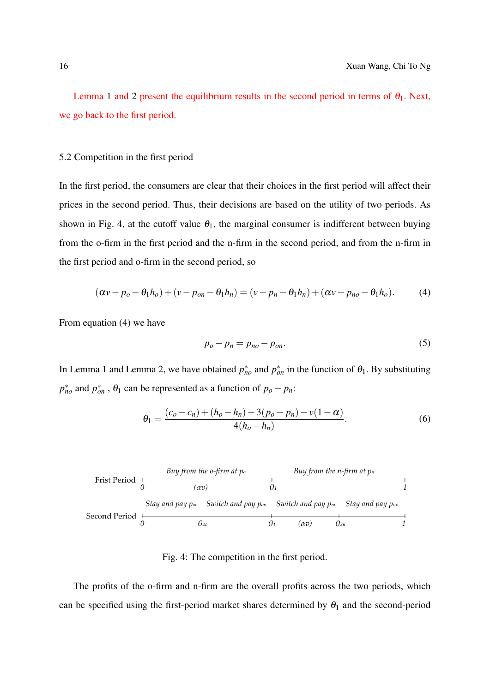Lemma [1](#page-14-1) and [2](#page-14-2) present the equilibrium results in the second period in terms of  $\theta_1$ . Next, we go back to the first period.

#### 5.2 Competition in the first period

In the first period, the consumers are clear that their choices in the first period will affect their prices in the second period. Thus, their decisions are based on the utility of two periods. As shown in Fig. [4,](#page-15-0) at the cutoff value  $\theta_1$ , the marginal consumer is indifferent between buying from the o-firm in the first period and the n-firm in the second period, and from the n-firm in the first period and o-firm in the second period, so

<span id="page-15-1"></span>
$$
(\alpha v - p_o - \theta_1 h_o) + (v - p_{on} - \theta_1 h_n) = (v - p_n - \theta_1 h_n) + (\alpha v - p_{no} - \theta_1 h_o).
$$
 (4)

From equation [\(4\)](#page-15-1) we have

<span id="page-15-2"></span>
$$
p_o - p_n = p_{no} - p_{on}.\tag{5}
$$

In Lemma [1](#page-14-1) and Lemma [2,](#page-14-2) we have obtained  $p_{no}^*$  and  $p_{on}^*$  in the function of  $\theta_1$ . By substituting  $p_{no}^*$  and  $p_{on}^*$ ,  $\theta_1$  can be represented as a function of  $p_o - p_n$ :

$$
\theta_1 = \frac{(c_o - c_n) + (h_o - h_n) - 3(p_o - p_n) - v(1 - \alpha)}{4(h_o - h_n)}.
$$
\n(6)

<span id="page-15-0"></span>

Fig. 4: The competition in the first period.

The profits of the o-firm and n-firm are the overall profits across the two periods, which can be specified using the first-period market shares determined by  $\theta_1$  and the second-period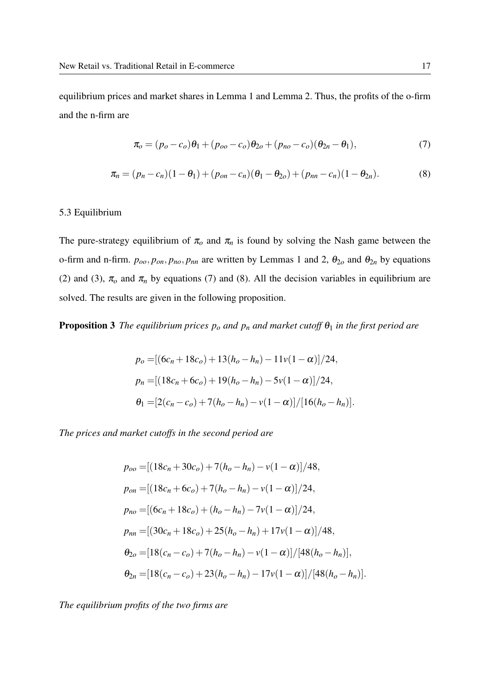equilibrium prices and market shares in Lemma [1](#page-14-1) and Lemma [2.](#page-14-2) Thus, the profits of the o-firm and the n-firm are

<span id="page-16-0"></span>
$$
\pi_o = (p_o - c_o)\theta_1 + (p_{oo} - c_o)\theta_{2o} + (p_{no} - c_o)(\theta_{2n} - \theta_1),
$$
\n(7)

<span id="page-16-1"></span>
$$
\pi_n = (p_n - c_n)(1 - \theta_1) + (p_{on} - c_n)(\theta_1 - \theta_{2o}) + (p_{nn} - c_n)(1 - \theta_{2n}).
$$
\n(8)

#### 5.3 Equilibrium

The pure-strategy equilibrium of  $\pi_o$  and  $\pi_n$  is found by solving the Nash game between the o-firm and n-firm.  $p_{oo}, p_{on}, p_{no}, p_{nn}$  are written by Lemmas [1](#page-14-1) and [2,](#page-14-2)  $\theta_{2o}$  and  $\theta_{2n}$  by equations [\(2\)](#page-14-3) and [\(3\)](#page-14-4),  $\pi_o$  and  $\pi_n$  by equations [\(7\)](#page-16-0) and [\(8\)](#page-16-1). All the decision variables in equilibrium are solved. The results are given in the following proposition.

<span id="page-16-2"></span>**Proposition 3** *The equilibrium prices*  $p_o$  *and*  $p_n$  *and market cutoff*  $\theta_1$  *in the first period are* 

$$
p_o = [(6c_n + 18c_o) + 13(h_o - h_n) - 11v(1 - \alpha)]/24,
$$
  
\n
$$
p_n = [(18c_n + 6c_o) + 19(h_o - h_n) - 5v(1 - \alpha)]/24,
$$
  
\n
$$
\theta_1 = [2(c_n - c_o) + 7(h_o - h_n) - v(1 - \alpha)]/[16(h_o - h_n)].
$$

*The prices and market cutoffs in the second period are*

$$
p_{oo} = [(18c_n + 30c_o) + 7(h_o - h_n) - v(1 - \alpha)]/48,
$$
  
\n
$$
p_{on} = [(18c_n + 6c_o) + 7(h_o - h_n) - v(1 - \alpha)]/24,
$$
  
\n
$$
p_{no} = [(6c_n + 18c_o) + (h_o - h_n) - 7v(1 - \alpha)]/24,
$$
  
\n
$$
p_{nn} = [(30c_n + 18c_o) + 25(h_o - h_n) + 17v(1 - \alpha)]/48,
$$
  
\n
$$
\theta_{2o} = [18(c_n - c_o) + 7(h_o - h_n) - v(1 - \alpha)]/[48(h_o - h_n)],
$$
  
\n
$$
\theta_{2n} = [18(c_n - c_o) + 23(h_o - h_n) - 17v(1 - \alpha)]/[48(h_o - h_n)].
$$

*The equilibrium profits of the two firms are*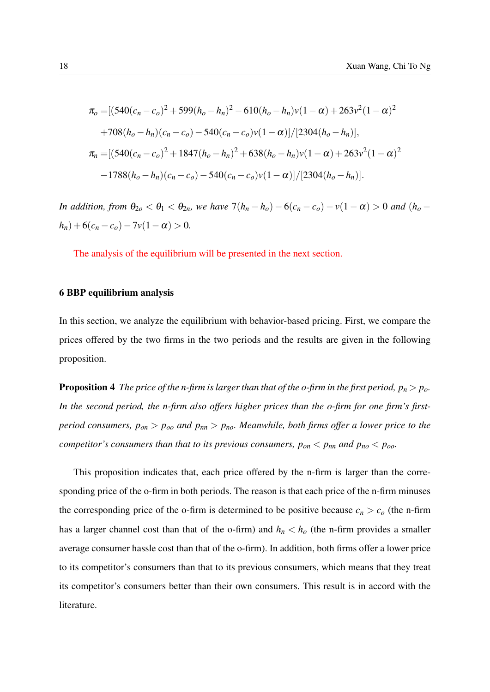$$
\pi_o = \left[ (540(c_n - c_o)^2 + 599(h_o - h_n)^2 - 610(h_o - h_n)v(1 - \alpha) + 263v^2(1 - \alpha)^2 + 708(h_o - h_n)(c_n - c_o) - 540(c_n - c_o)v(1 - \alpha) \right] / [2304(h_o - h_n)],
$$
  
\n
$$
\pi_n = \left[ (540(c_n - c_o)^2 + 1847(h_o - h_n)^2 + 638(h_o - h_n)v(1 - \alpha) + 263v^2(1 - \alpha)^2 - 1788(h_o - h_n)(c_n - c_o) - 540(c_n - c_o)v(1 - \alpha) \right] / [2304(h_o - h_n)].
$$

*In addition, from*  $\theta_{2o} < \theta_1 < \theta_{2n}$ *, we have*  $7(h_n - h_o) - 6(c_n - c_o) - v(1 - \alpha) > 0$  *and*  $(h_o - h_o)$  $h_n$ ) + 6( $c_n$  –  $c_o$ ) – 7 $v(1-\alpha) > 0$ .

The analysis of the equilibrium will be presented in the next section.

## <span id="page-17-0"></span>6 BBP equilibrium analysis

In this section, we analyze the equilibrium with behavior-based pricing. First, we compare the prices offered by the two firms in the two periods and the results are given in the following proposition.

<span id="page-17-1"></span>**Proposition 4** *The price of the n-firm is larger than that of the o-firm in the first period,*  $p_n > p_o$ *. In the second period, the n-firm also offers higher prices than the o-firm for one firm's firstperiod consumers, pon* > *poo and pnn* > *pno. Meanwhile, both firms offer a lower price to the competitor's consumers than that to its previous consumers,*  $p_{on} < p_{nn}$  *and*  $p_{no} < p_{oo}$ *.* 

This proposition indicates that, each price offered by the n-firm is larger than the corresponding price of the o-firm in both periods. The reason is that each price of the n-firm minuses the corresponding price of the o-firm is determined to be positive because  $c_n > c_o$  (the n-firm has a larger channel cost than that of the o-firm) and  $h_n < h_o$  (the n-firm provides a smaller average consumer hassle cost than that of the o-firm). In addition, both firms offer a lower price to its competitor's consumers than that to its previous consumers, which means that they treat its competitor's consumers better than their own consumers. This result is in accord with the literature.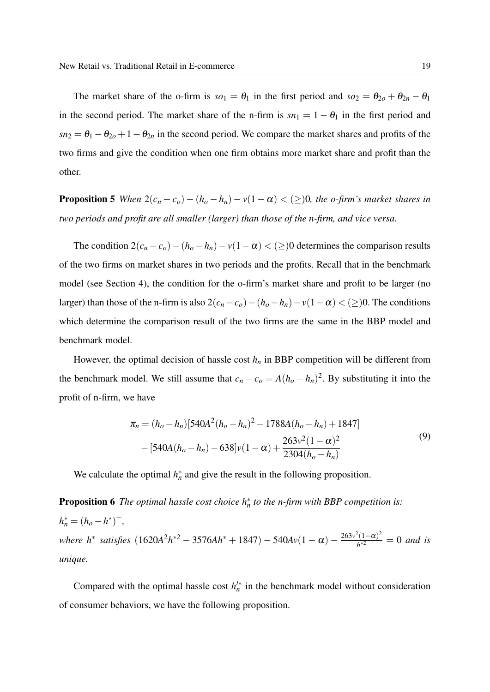The market share of the o-firm is  $so_1 = \theta_1$  in the first period and  $so_2 = \theta_{2o} + \theta_{2n} - \theta_1$ in the second period. The market share of the n-firm is  $sn_1 = 1 - \theta_1$  in the first period and  $sn_2 = \theta_1 - \theta_{2o} + 1 - \theta_{2n}$  in the second period. We compare the market shares and profits of the two firms and give the condition when one firm obtains more market share and profit than the other.

<span id="page-18-0"></span>**Proposition 5** *When*  $2(c_n - c_o) - (h_o - h_n) - v(1 - \alpha) < (\geq)0$ , the o-firm's market shares in *two periods and profit are all smaller (larger) than those of the n-firm, and vice versa.*

The condition  $2(c_n - c_o) - (h_o - h_n) - v(1 - \alpha) < (\geq)0$  determines the comparison results of the two firms on market shares in two periods and the profits. Recall that in the benchmark model (see Section [4\)](#page-10-0), the condition for the o-firm's market share and profit to be larger (no larger) than those of the n-firm is also  $2(c_n - c_o) - (h_o - h_n) - v(1 - \alpha) < (\geq)0$ . The conditions which determine the comparison result of the two firms are the same in the BBP model and benchmark model.

However, the optimal decision of hassle cost  $h_n$  in BBP competition will be different from the benchmark model. We still assume that  $c_n - c_o = A(h_o - h_n)^2$ . By substituting it into the profit of n-firm, we have

$$
\pi_n = (h_o - h_n)[540A^2(h_o - h_n)^2 - 1788A(h_o - h_n) + 1847]
$$
  
– [540A(h\_o - h\_n) – 638]v(1 –  $\alpha$ ) +  $\frac{263v^2(1 - \alpha)^2}{2304(h_o - h_n)}$  (9)

We calculate the optimal  $h_n^*$  and give the result in the following proposition.

<span id="page-18-1"></span>**Proposition 6** The optimal hassle cost choice  $h_n^*$  to the n-firm with BBP competition is:  $h_n^* = (h_o - h^*)^+$ *where h<sup>\*</sup> satisfies*  $(1620A^2h^{*2} - 3576Ah^{*} + 1847) - 540Av(1 - \alpha) - \frac{263v^2(1-\alpha)^2}{h^{*2}}$  $\frac{f(1-a)^2}{h^{*2}} = 0$  *and is unique.*

<span id="page-18-2"></span>Compared with the optimal hassle cost  $h_n^{\prime*}$  in the benchmark model without consideration of consumer behaviors, we have the following proposition.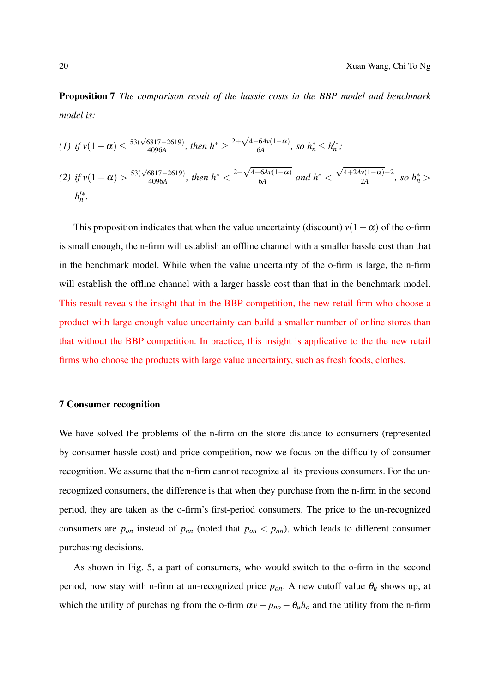Proposition 7 *The comparison result of the hassle costs in the BBP model and benchmark model is:*

(1) if 
$$
v(1 - \alpha) \le \frac{53(\sqrt{6817} - 2619)}{4096A}
$$
, then  $h^* \ge \frac{2 + \sqrt{4 - 6Av(1 - \alpha)}}{6A}$ , so  $h_n^* \le h_n'^*$ ;  
\n(2) if  $v(1 - \alpha) > \frac{53(\sqrt{6817} - 2619)}{4096A}$ , then  $h^* < \frac{2 + \sqrt{4 - 6Av(1 - \alpha)}}{6A}$  and  $h^* < \frac{\sqrt{4 + 2Av(1 - \alpha)} - 2}{2A}$ , so  $h_n^* > h_n'^*$ .

This proposition indicates that when the value uncertainty (discount)  $v(1-\alpha)$  of the o-firm is small enough, the n-firm will establish an offline channel with a smaller hassle cost than that in the benchmark model. While when the value uncertainty of the o-firm is large, the n-firm will establish the offline channel with a larger hassle cost than that in the benchmark model. This result reveals the insight that in the BBP competition, the new retail firm who choose a product with large enough value uncertainty can build a smaller number of online stores than that without the BBP competition. In practice, this insight is applicative to the the new retail firms who choose the products with large value uncertainty, such as fresh foods, clothes.

### <span id="page-19-0"></span>7 Consumer recognition

We have solved the problems of the n-firm on the store distance to consumers (represented by consumer hassle cost) and price competition, now we focus on the difficulty of consumer recognition. We assume that the n-firm cannot recognize all its previous consumers. For the unrecognized consumers, the difference is that when they purchase from the n-firm in the second period, they are taken as the o-firm's first-period consumers. The price to the un-recognized consumers are  $p_{on}$  instead of  $p_{nn}$  (noted that  $p_{on} < p_{nn}$ ), which leads to different consumer purchasing decisions.

As shown in Fig. [5,](#page-20-0) a part of consumers, who would switch to the o-firm in the second period, now stay with n-firm at un-recognized price  $p_{on}$ . A new cutoff value  $\theta_u$  shows up, at which the utility of purchasing from the o-firm  $\alpha v - p_{no} - \theta_u h_o$  and the utility from the n-firm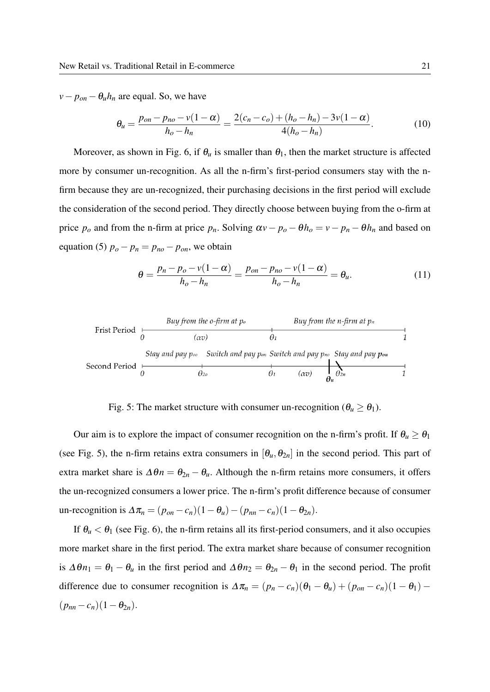$v - p_{on} - \theta_u h_n$  are equal. So, we have

$$
\theta_u = \frac{p_{on} - p_{no} - v(1 - \alpha)}{h_o - h_n} = \frac{2(c_n - c_o) + (h_o - h_n) - 3v(1 - \alpha)}{4(h_o - h_n)}.
$$
(10)

Moreover, as shown in Fig. [6,](#page-21-0) if  $\theta_u$  is smaller than  $\theta_1$ , then the market structure is affected more by consumer un-recognition. As all the n-firm's first-period consumers stay with the nfirm because they are un-recognized, their purchasing decisions in the first period will exclude the consideration of the second period. They directly choose between buying from the o-firm at price  $p_o$  and from the n-firm at price  $p_n$ . Solving  $\alpha v - p_o - \theta h_o = v - p_n - \theta h_n$  and based on equation [\(5\)](#page-15-2)  $p_o - p_n = p_{no} - p_{on}$ , we obtain

$$
\theta = \frac{p_n - p_o - v(1 - \alpha)}{h_o - h_n} = \frac{p_{on} - p_{no} - v(1 - \alpha)}{h_o - h_n} = \theta_u.
$$
\n(11)

<span id="page-20-0"></span>

Fig. 5: The market structure with consumer un-recognition ( $\theta_u \ge \theta_1$ ).

Our aim is to explore the impact of consumer recognition on the n-firm's profit. If  $\theta_u \ge \theta_1$ (see Fig. [5\)](#page-20-0), the n-firm retains extra consumers in  $[\theta_u, \theta_{2n}]$  in the second period. This part of extra market share is  $\Delta \theta n = \theta_{2n} - \theta_u$ . Although the n-firm retains more consumers, it offers the un-recognized consumers a lower price. The n-firm's profit difference because of consumer un-recognition is  $\Delta \pi_n = (p_{on} - c_n)(1 - \theta_u) - (p_{nn} - c_n)(1 - \theta_{2n}).$ 

If  $\theta_u < \theta_1$  (see Fig. [6\)](#page-21-0), the n-firm retains all its first-period consumers, and it also occupies more market share in the first period. The extra market share because of consumer recognition is  $\Delta \theta n_1 = \theta_1 - \theta_u$  in the first period and  $\Delta \theta n_2 = \theta_{2n} - \theta_1$  in the second period. The profit difference due to consumer recognition is  $\Delta \pi_n = (p_n - c_n)(\theta_1 - \theta_u) + (p_{on} - c_n)(1 - \theta_1)$  $(p_{nn} - c_n)(1 - \theta_{2n}).$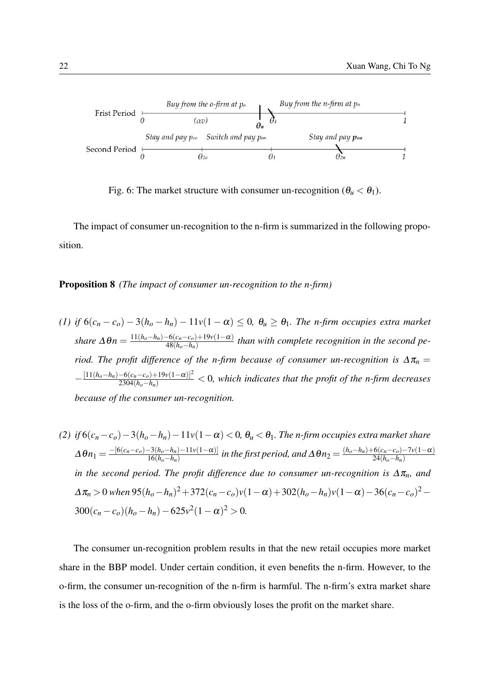<span id="page-21-0"></span>

Fig. 6: The market structure with consumer un-recognition  $(\theta_u < \theta_1)$ .

<span id="page-21-1"></span>The impact of consumer un-recognition to the n-firm is summarized in the following proposition.

#### Proposition 8 *(The impact of consumer un-recognition to the n-firm)*

\n- (1) if 
$$
6(c_n - c_o) - 3(h_o - h_n) - 11v(1 - \alpha) \leq 0
$$
,  $\theta_u \geq \theta_1$ . The *n*-firm occupies extra market share  $\Delta \theta_n = \frac{11(h_o - h_n) - 6(c_n - c_o) + 19v(1 - \alpha)}{48(h_o - h_n)}$  than with complete recognition in the second period. The profit difference of the *n*-firm because of consumer un-recognition is  $\Delta \pi_n = -\frac{[11(h_o - h_n) - 6(c_n - c_o) + 19v(1 - \alpha)]^2}{2304(h_o - h_n)} < 0$ , which indicates that the profit of the *n*-firm decreases because of the consumer un-recognition.
\n

(2) if 
$$
6(c_n - c_o) - 3(h_o - h_n) - 11v(1 - \alpha) < 0
$$
,  $\theta_u < \theta_1$ . The *n*-firm occupies extra market share  
\n $\Delta \theta_{n_1} = \frac{-[6(c_n - c_o) - 3(h_o - h_n) - 11v(1 - \alpha)]}{16(h_o - h_n)}$  in the first period, and  $\Delta \theta_{n_2} = \frac{(h_o - h_n) + 6(c_n - c_o) - 7v(1 - \alpha)}{24(h_o - h_n)}$   
\nin the second period. The profit difference due to consumer un-recognition is  $\Delta \pi_n$ , and  
\n $\Delta \pi_n > 0$  when  $95(h_o - h_n)^2 + 372(c_n - c_o)v(1 - \alpha) + 302(h_o - h_n)v(1 - \alpha) - 36(c_n - c_o)^2 - 300(c_n - c_o)(h_o - h_n) - 625v^2(1 - \alpha)^2 > 0$ .

The consumer un-recognition problem results in that the new retail occupies more market share in the BBP model. Under certain condition, it even benefits the n-firm. However, to the o-firm, the consumer un-recognition of the n-firm is harmful. The n-firm's extra market share is the loss of the o-firm, and the o-firm obviously loses the profit on the market share.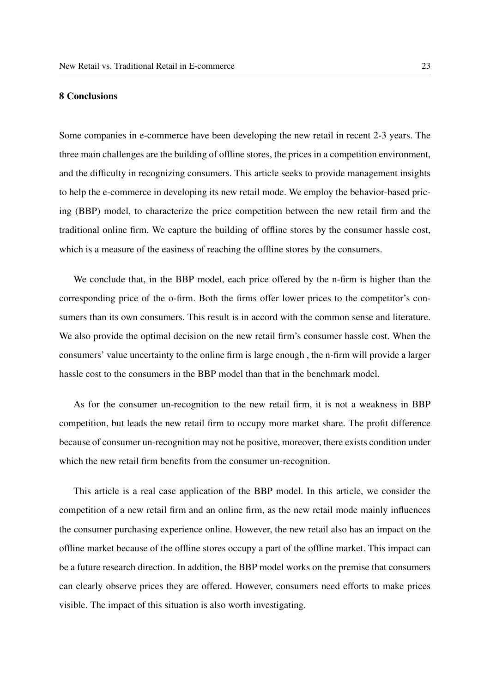# <span id="page-22-0"></span>8 Conclusions

Some companies in e-commerce have been developing the new retail in recent 2-3 years. The three main challenges are the building of offline stores, the prices in a competition environment, and the difficulty in recognizing consumers. This article seeks to provide management insights to help the e-commerce in developing its new retail mode. We employ the behavior-based pricing (BBP) model, to characterize the price competition between the new retail firm and the traditional online firm. We capture the building of offline stores by the consumer hassle cost, which is a measure of the easiness of reaching the offline stores by the consumers.

We conclude that, in the BBP model, each price offered by the n-firm is higher than the corresponding price of the o-firm. Both the firms offer lower prices to the competitor's consumers than its own consumers. This result is in accord with the common sense and literature. We also provide the optimal decision on the new retail firm's consumer hassle cost. When the consumers' value uncertainty to the online firm is large enough , the n-firm will provide a larger hassle cost to the consumers in the BBP model than that in the benchmark model.

As for the consumer un-recognition to the new retail firm, it is not a weakness in BBP competition, but leads the new retail firm to occupy more market share. The profit difference because of consumer un-recognition may not be positive, moreover, there exists condition under which the new retail firm benefits from the consumer un-recognition.

This article is a real case application of the BBP model. In this article, we consider the competition of a new retail firm and an online firm, as the new retail mode mainly influences the consumer purchasing experience online. However, the new retail also has an impact on the offline market because of the offline stores occupy a part of the offline market. This impact can be a future research direction. In addition, the BBP model works on the premise that consumers can clearly observe prices they are offered. However, consumers need efforts to make prices visible. The impact of this situation is also worth investigating.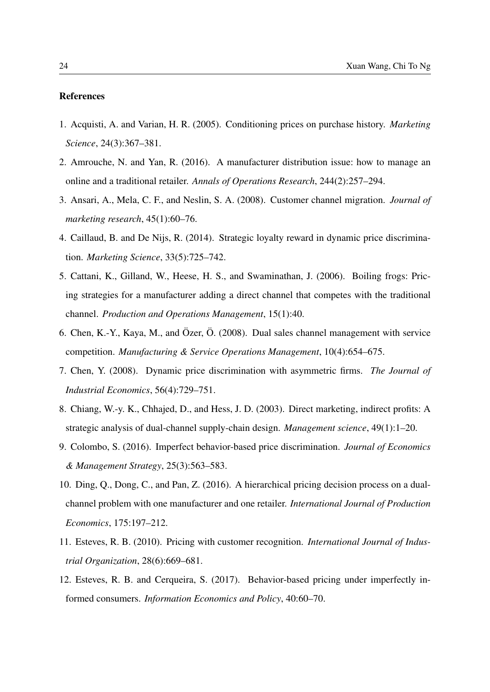# References

- <span id="page-23-6"></span>1. Acquisti, A. and Varian, H. R. (2005). Conditioning prices on purchase history. *Marketing Science*, 24(3):367–381.
- <span id="page-23-3"></span>2. Amrouche, N. and Yan, R. (2016). A manufacturer distribution issue: how to manage an online and a traditional retailer. *Annals of Operations Research*, 244(2):257–294.
- <span id="page-23-5"></span>3. Ansari, A., Mela, C. F., and Neslin, S. A. (2008). Customer channel migration. *Journal of marketing research*, 45(1):60–76.
- <span id="page-23-11"></span>4. Caillaud, B. and De Nijs, R. (2014). Strategic loyalty reward in dynamic price discrimination. *Marketing Science*, 33(5):725–742.
- <span id="page-23-1"></span>5. Cattani, K., Gilland, W., Heese, H. S., and Swaminathan, J. (2006). Boiling frogs: Pricing strategies for a manufacturer adding a direct channel that competes with the traditional channel. *Production and Operations Management*, 15(1):40.
- <span id="page-23-2"></span>6. Chen, K.-Y., Kaya, M., and Özer, Ö. (2008). Dual sales channel management with service competition. *Manufacturing & Service Operations Management*, 10(4):654–675.
- <span id="page-23-8"></span>7. Chen, Y. (2008). Dynamic price discrimination with asymmetric firms. *The Journal of Industrial Economics*, 56(4):729–751.
- <span id="page-23-0"></span>8. Chiang, W.-y. K., Chhajed, D., and Hess, J. D. (2003). Direct marketing, indirect profits: A strategic analysis of dual-channel supply-chain design. *Management science*, 49(1):1–20.
- <span id="page-23-9"></span>9. Colombo, S. (2016). Imperfect behavior-based price discrimination. *Journal of Economics & Management Strategy*, 25(3):563–583.
- <span id="page-23-4"></span>10. Ding, Q., Dong, C., and Pan, Z. (2016). A hierarchical pricing decision process on a dualchannel problem with one manufacturer and one retailer. *International Journal of Production Economics*, 175:197–212.
- <span id="page-23-7"></span>11. Esteves, R. B. (2010). Pricing with customer recognition. *International Journal of Industrial Organization*, 28(6):669–681.
- <span id="page-23-10"></span>12. Esteves, R. B. and Cerqueira, S. (2017). Behavior-based pricing under imperfectly informed consumers. *Information Economics and Policy*, 40:60–70.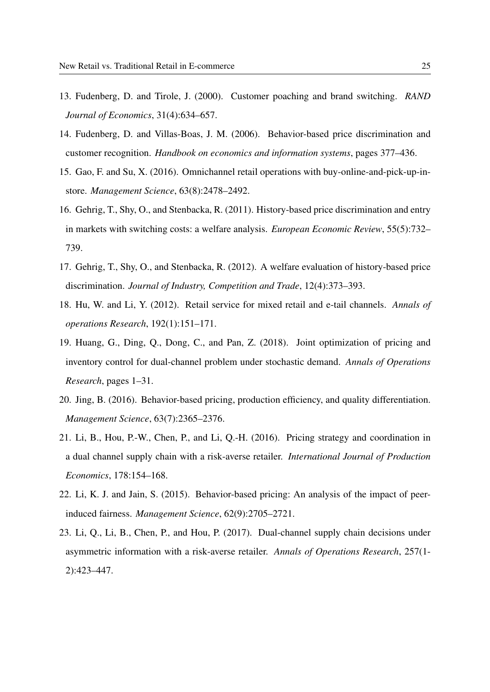- <span id="page-24-6"></span>13. Fudenberg, D. and Tirole, J. (2000). Customer poaching and brand switching. *RAND Journal of Economics*, 31(4):634–657.
- <span id="page-24-5"></span>14. Fudenberg, D. and Villas-Boas, J. M. (2006). Behavior-based price discrimination and customer recognition. *Handbook on economics and information systems*, pages 377–436.
- <span id="page-24-4"></span>15. Gao, F. and Su, X. (2016). Omnichannel retail operations with buy-online-and-pick-up-instore. *Management Science*, 63(8):2478–2492.
- <span id="page-24-7"></span>16. Gehrig, T., Shy, O., and Stenbacka, R. (2011). History-based price discrimination and entry in markets with switching costs: a welfare analysis. *European Economic Review*, 55(5):732– 739.
- <span id="page-24-8"></span>17. Gehrig, T., Shy, O., and Stenbacka, R. (2012). A welfare evaluation of history-based price discrimination. *Journal of Industry, Competition and Trade*, 12(4):373–393.
- <span id="page-24-0"></span>18. Hu, W. and Li, Y. (2012). Retail service for mixed retail and e-tail channels. *Annals of operations Research*, 192(1):151–171.
- <span id="page-24-3"></span>19. Huang, G., Ding, Q., Dong, C., and Pan, Z. (2018). Joint optimization of pricing and inventory control for dual-channel problem under stochastic demand. *Annals of Operations Research*, pages 1–31.
- <span id="page-24-10"></span>20. Jing, B. (2016). Behavior-based pricing, production efficiency, and quality differentiation. *Management Science*, 63(7):2365–2376.
- <span id="page-24-2"></span>21. Li, B., Hou, P.-W., Chen, P., and Li, Q.-H. (2016). Pricing strategy and coordination in a dual channel supply chain with a risk-averse retailer. *International Journal of Production Economics*, 178:154–168.
- <span id="page-24-9"></span>22. Li, K. J. and Jain, S. (2015). Behavior-based pricing: An analysis of the impact of peerinduced fairness. *Management Science*, 62(9):2705–2721.
- <span id="page-24-1"></span>23. Li, Q., Li, B., Chen, P., and Hou, P. (2017). Dual-channel supply chain decisions under asymmetric information with a risk-averse retailer. *Annals of Operations Research*, 257(1- 2):423–447.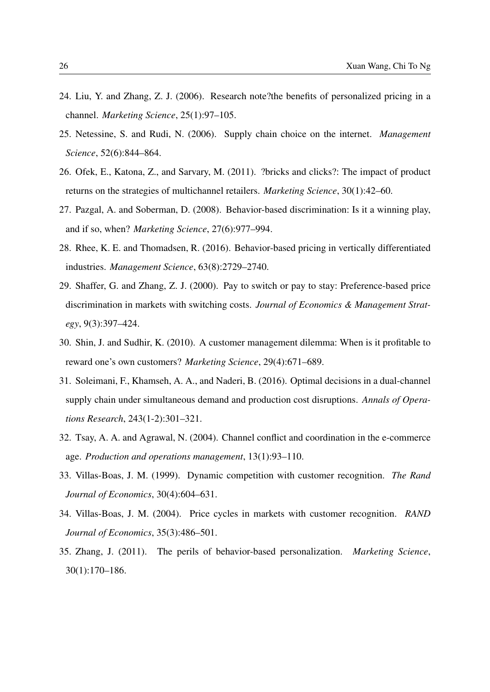- <span id="page-25-0"></span>24. Liu, Y. and Zhang, Z. J. (2006). Research note?the benefits of personalized pricing in a channel. *Marketing Science*, 25(1):97–105.
- <span id="page-25-2"></span>25. Netessine, S. and Rudi, N. (2006). Supply chain choice on the internet. *Management Science*, 52(6):844–864.
- <span id="page-25-4"></span>26. Ofek, E., Katona, Z., and Sarvary, M. (2011). ?bricks and clicks?: The impact of product returns on the strategies of multichannel retailers. *Marketing Science*, 30(1):42–60.
- <span id="page-25-9"></span>27. Pazgal, A. and Soberman, D. (2008). Behavior-based discrimination: Is it a winning play, and if so, when? *Marketing Science*, 27(6):977–994.
- <span id="page-25-11"></span>28. Rhee, K. E. and Thomadsen, R. (2016). Behavior-based pricing in vertically differentiated industries. *Management Science*, 63(8):2729–2740.
- <span id="page-25-8"></span>29. Shaffer, G. and Zhang, Z. J. (2000). Pay to switch or pay to stay: Preference-based price discrimination in markets with switching costs. *Journal of Economics & Management Strategy*, 9(3):397–424.
- <span id="page-25-10"></span>30. Shin, J. and Sudhir, K. (2010). A customer management dilemma: When is it profitable to reward one's own customers? *Marketing Science*, 29(4):671–689.
- <span id="page-25-3"></span>31. Soleimani, F., Khamseh, A. A., and Naderi, B. (2016). Optimal decisions in a dual-channel supply chain under simultaneous demand and production cost disruptions. *Annals of Operations Research*, 243(1-2):301–321.
- <span id="page-25-1"></span>32. Tsay, A. A. and Agrawal, N. (2004). Channel conflict and coordination in the e-commerce age. *Production and operations management*, 13(1):93–110.
- <span id="page-25-6"></span>33. Villas-Boas, J. M. (1999). Dynamic competition with customer recognition. *The Rand Journal of Economics*, 30(4):604–631.
- <span id="page-25-5"></span>34. Villas-Boas, J. M. (2004). Price cycles in markets with customer recognition. *RAND Journal of Economics*, 35(3):486–501.
- <span id="page-25-7"></span>35. Zhang, J. (2011). The perils of behavior-based personalization. *Marketing Science*, 30(1):170–186.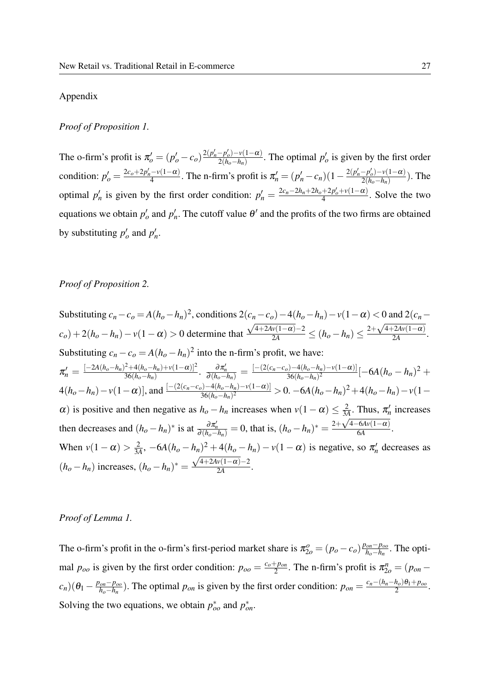#### Appendix

#### *Proof of Proposition [1.](#page-11-1)*

The o-firm's profit is  $\pi'_{o} = (p'_{o} - c_{o}) \frac{2(p'_{n} - p'_{o}) - v(1 - \alpha)}{2(h_{o} - h_{n})}$  $\frac{-p'_o - v(1 - \alpha)}{2(h_o - h_n)}$ . The optimal  $p'_o$  is given by the first order condition:  $p'_{o} = \frac{2c_{o} + 2p'_{n} - v(1-a)}{4}$  $\frac{(-\nu(1-\alpha)}{4}$ . The n-firm's profit is  $\pi'_n = (p'_n - c_n)(1 - \frac{2(p'_n - p'_o) - \nu(1-\alpha)}{2(h_o - h_n)})$  $\frac{-p_o - v(1-\alpha)}{2(h_o - h_n)}$ ). The optimal  $p'_n$  is given by the first order condition:  $p'_n = \frac{2c_n - 2h_n + 2h_o + 2p'_o + v(1 - \alpha)}{4}$  $\frac{+2p_o+v(1-a)}{4}$ . Solve the two equations we obtain  $p'_o$  and  $p'_n$ . The cutoff value  $\theta'$  and the profits of the two firms are obtained by substituting  $p'_o$  and  $p'_n$ .

#### *Proof of Proposition [2.](#page-12-0)*

Substituting  $c_n - c_o = A(h_o - h_n)^2$ , conditions  $2(c_n - c_o) - 4(h_o - h_n) - v(1 - \alpha) < 0$  and  $2(c_n (c_o) + 2(h_o - h_n) - v(1 - \alpha) > 0$  determine that  $\frac{c}{\sqrt{2}}$  $\frac{4+24v(1-\alpha)-2}{2A}$  ≤  $(h_o-h_n)$  ≤  $\frac{2+\sqrt{2}}{2A}$ 4+2*Av*(1−α)  $\frac{2A\mathbf{v}(1-\alpha)}{2A}$ . Substituting  $c_n - c_o = A(h_o - h_n)^2$  into the n-firm's profit, we have:  $\pi_n' = \frac{[-2A(h_o-h_n)^2+4(h_o-h_n)+v(1-\alpha)]^2}{36(h_o-h_n)}$  $\frac{1}{36(h_o-h_n)+v(1-\alpha)]^2}{\frac{\partial \pi_n'}{\partial (h_o-h_n)}}=\frac{[-(2(c_n-c_o)-4(h_o-h_n)-v(1-\alpha)]}{36(h_o-h_n)^2}$  $\frac{36(h_o-h_n)^2 \nu(1-\alpha)}{(\alpha - h_n)^2}[-6A(h_o-h_n)^2+$  $4(h_o-h_n)-v(1-\alpha)$ ], and  $\frac{[-(2(c_n-c_o)-4(h_o-h_n)-v(1-\alpha)]}{36(h_o-h_n)^2}>0.$   $-6A(h_o-h_n)^2+4(h_o-h_n)-v(1-\alpha)$  $\alpha$ ) is positive and then negative as  $h_o - h_n$  increases when  $v(1 - \alpha) \leq \frac{2}{3}$  $\frac{2}{3A}$ . Thus,  $\pi'_n$  increases then decreases and  $(h_o - h_n)^*$  is at  $\frac{\partial \pi_n'}{\partial (h_o - h_n)} = 0$ , that is,  $(h_o - h_n)^* = \frac{2 + \sqrt{4 - 6A\nu(1 - \alpha)}}{6A}$  $\frac{\alpha_{\text{AV}}(1-\alpha)}{6A}$ . When  $v(1-\alpha) > \frac{2}{34}$  $\frac{2}{3A}$ ,  $-6A(h_o - h_n)^2 + 4(h_o - h_n) - v(1 - \alpha)$  is negative, so  $\pi_n^{\prime}$  decreases as  $(h_o - h_n)$  increases,  $(h_o - h_n)^* = \frac{\sqrt{4 + 2Av(1 - \alpha)} - 2}{2A}$  $\frac{\sqrt{(1-\alpha)^{-2}}}{2A}$ .

#### *Proof of Lemma [1.](#page-14-1)*

The o-firm's profit in the o-firm's first-period market share is  $\pi_{2o}^o = (p_o - c_o) \frac{p_{on} - p_{oo}}{h_o - h_n}$ *ho*−*h<sup>n</sup>* . The optimal  $p_{oo}$  is given by the first order condition:  $p_{oo} = \frac{c_o + p_{on}}{2}$  $\frac{p_{\text{Pon}}}{2}$ . The n-firm's profit is  $\pi_{2o}^n = (p_{\text{on}} - p_{\text{on}})$  $(c_n)(\theta_1 - \frac{p_{on} - p_{oo}}{h_o - h_n})$  $\frac{p_{on} - p_{oo}}{h_o - h_n}$ ). The optimal  $p_{on}$  is given by the first order condition:  $p_{on} = \frac{c_n - (h_n - h_o)\theta_1 + p_{oo}}{2}$  $\frac{n_o \cdot p_1 + p_{oo}}{2}$ . Solving the two equations, we obtain  $p_{oo}^*$  and  $p_{on}^*$ .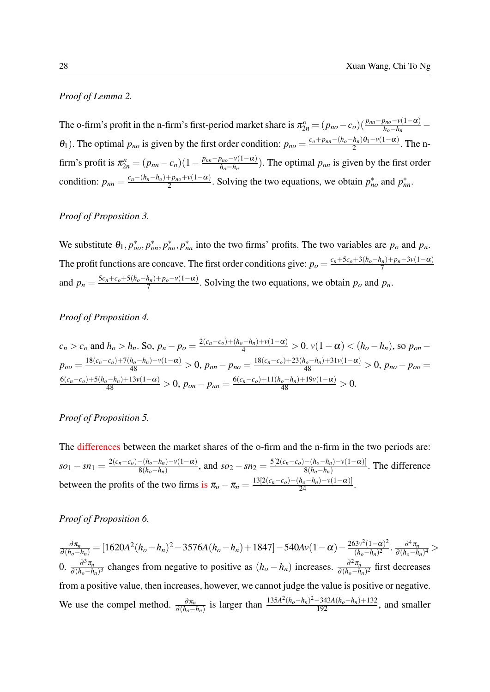# *Proof of Lemma [2.](#page-14-2)*

The o-firm's profit in the n-firm's first-period market share is  $\pi_{2n}^o = (p_{no} - c_o)(\frac{p_{nn} - p_{no} - v(1-\alpha)}{h_o - h_n} \theta_1$ ). The optimal  $p_{no}$  is given by the first order condition:  $p_{no} = \frac{c_o + p_{nn} - (h_o - h_n)\theta_1 - v(1 - \alpha)}{2}$  $\frac{n_n}{2}$ . The nfirm's profit is  $\pi_{2n}^{n} = (p_{nn} - c_n)(1 - \frac{p_{nn} - p_{no} - v(1 - \alpha)}{h_o - h_n})$  $\frac{p_{no} - v(1 - \alpha)}{h_o - h_n}$ ). The optimal  $p_{nn}$  is given by the first order condition:  $p_{nn} = \frac{c_n - (h_n - h_o) + p_{no} + v(1 - \alpha)}{2}$  $\frac{p_{ho}+v(1-\alpha)}{2}$ . Solving the two equations, we obtain  $p_{no}^*$  and  $p_{nn}^*$ .

#### *Proof of Proposition [3.](#page-16-2)*

We substitute  $\theta_1$ ,  $p_{oo}^*$ ,  $p_{nn}^*$ ,  $p_{nn}^*$  into the two firms' profits. The two variables are  $p_o$  and  $p_n$ . The profit functions are concave. The first order conditions give:  $p_o = \frac{c_n + 5c_o + 3(h_o - h_n) + p_n - 3v(1 - \alpha)}{7}$ 7 and  $p_n = \frac{5c_n + c_o + 5(h_o - h_n) + p_o - v(1 - \alpha)}{7}$  $\frac{n_n p_0 - v(1-a)}{7}$ . Solving the two equations, we obtain  $p_o$  and  $p_n$ .

## *Proof of Proposition [4.](#page-17-1)*

$$
c_n > c_o \text{ and } h_o > h_n. \text{ So, } p_n - p_o = \frac{2(c_n - c_o) + (h_o - h_n) + v(1 - \alpha)}{4} > 0. \ v(1 - \alpha) < (h_o - h_n), \text{ so } p_{on} - p_{oo} = \frac{18(c_n - c_o) + 7(h_o - h_n) - v(1 - \alpha)}{48} > 0, \ p_{nn} - p_{no} = \frac{18(c_n - c_o) + 23(h_o - h_n) + 31v(1 - \alpha)}{48} > 0, \ p_{no} - p_{oo} = \frac{6(c_n - c_o) + 5(h_o - h_n) + 13v(1 - \alpha)}{48} > 0, \ p_{on} - p_{nn} = \frac{6(c_n - c_o) + 11(h_o - h_n) + 19v(1 - \alpha)}{48} > 0.
$$

#### *Proof of Proposition [5.](#page-18-0)*

The differences between the market shares of the o-firm and the n-firm in the two periods are:  $so_1 - sn_1 = \frac{2(c_n - c_o) - (h_o - h_n) - v(1 - \alpha)}{8(h_o - h_n)}$  $\frac{S(h_o-h_n)-\nu(1-\alpha)}{8(h_o-h_n)},$  and  $so_2 - sn_2 = \frac{5[2(c_n-c_o)-(h_o-h_n)-\nu(1-\alpha)]}{8(h_o-h_n)}$  $\frac{-(n_o - n_n) - v(1 - \alpha)}{8(h_o - h_n)}$ . The difference between the profits of the two firms is  $\pi_o - \pi_n = \frac{13[2(c_n - c_o) - (h_o - h_n) - v(1 - \alpha)]}{24}$ .

#### *Proof of Proposition [6.](#page-18-1)*

 $\frac{\partial \pi_n}{\partial (h_o - h_n)} = [1620A^2(h_o - h_n)^2 - 3576A(h_o - h_n) + 1847] - 540Av(1 - \alpha) - \frac{263v^2(1 - \alpha)^2}{(h_o - h_n)^2}$  $\frac{\partial^3 v^2 (1-\alpha)^2}{(h_o-h_n)^2}$ .  $\frac{\partial^4 \pi_n}{\partial (h_o-h_n)^2}$  $\frac{\partial^n \pi_n}{\partial (h_o-h_n)^4}$ 0.  $\frac{\partial^3 \pi_n}{\partial (h-h)}$  $\frac{\partial^3 \pi_n}{\partial (h_o-h_n)^3}$  changes from negative to positive as  $(h_o-h_n)$  increases.  $\frac{\partial^2 \pi_n}{\partial (h_o-h_n)^3}$  $\frac{\partial^2 \pi_n}{\partial (h_o - h_n)^2}$  first decreases from a positive value, then increases, however, we cannot judge the value is positive or negative. We use the compel method.  $\frac{\partial \pi_n}{\partial (h_o - h_n)}$  is larger than  $\frac{135A^2(h_o - h_n)^2 - 343A(h_o - h_n) + 132}{192}$ , and smaller